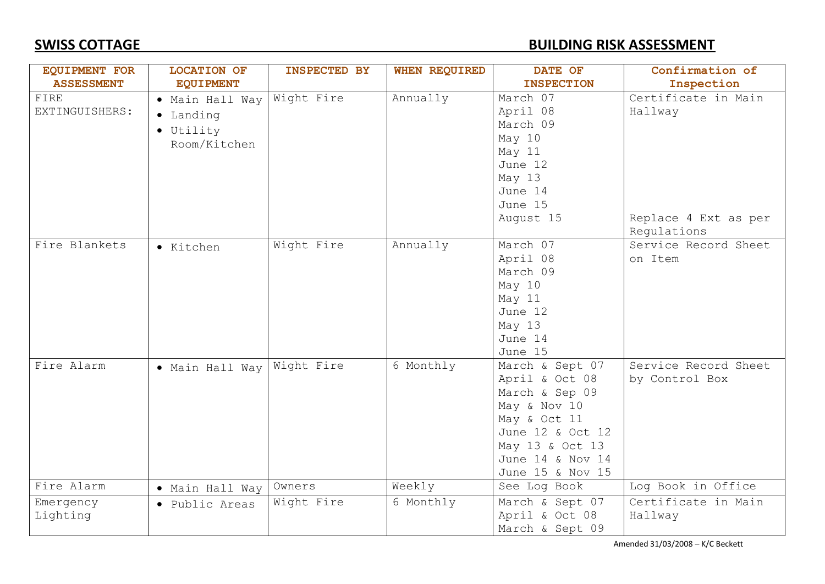### **SWISS COTTAGE BUILDING RISK ASSESSMENT**

| <b>EQUIPMENT FOR</b>   | <b>LOCATION OF</b>                                                | <b>INSPECTED BY</b> | <b>WHEN REQUIRED</b> | DATE OF                                                                                                                                                            | Confirmation of                                                       |
|------------------------|-------------------------------------------------------------------|---------------------|----------------------|--------------------------------------------------------------------------------------------------------------------------------------------------------------------|-----------------------------------------------------------------------|
| <b>ASSESSMENT</b>      | <b>EQUIPMENT</b>                                                  |                     |                      | <b>INSPECTION</b>                                                                                                                                                  | Inspection                                                            |
| FIRE<br>EXTINGUISHERS: | · Main Hall Way<br>• Landing<br>$\bullet$ Utility<br>Room/Kitchen | Wight Fire          | Annually             | March 07<br>April 08<br>March 09<br>May 10<br>May 11<br>June 12<br>May 13<br>June 14<br>June 15<br>August 15                                                       | Certificate in Main<br>Hallway<br>Replace 4 Ext as per<br>Regulations |
| Fire Blankets          | · Kitchen                                                         | Wight Fire          | Annually             | March 07<br>April 08<br>March 09<br>May 10<br>May 11<br>June 12<br>May 13<br>June 14<br>June 15                                                                    | Service Record Sheet<br>on Item                                       |
| Fire Alarm             | . Main Hall Way   Wight Fire                                      |                     | 6 Monthly            | March & Sept 07<br>April & Oct 08<br>March & Sep 09<br>May & Nov 10<br>May & Oct 11<br>June 12 & Oct 12<br>May 13 & Oct 13<br>June 14 & Nov 14<br>June 15 & Nov 15 | Service Record Sheet<br>by Control Box                                |
| Fire Alarm             | • Main Hall Way                                                   | Owners              | Weekly               | See Log Book                                                                                                                                                       | Log Book in Office                                                    |
| Emergency<br>Lighting  | • Public Areas                                                    | Wight Fire          | 6 Monthly            | March & Sept 07<br>April & Oct 08<br>March & Sept 09                                                                                                               | Certificate in Main<br>Hallway                                        |

Amended 31/03/2008 – K/C Beckett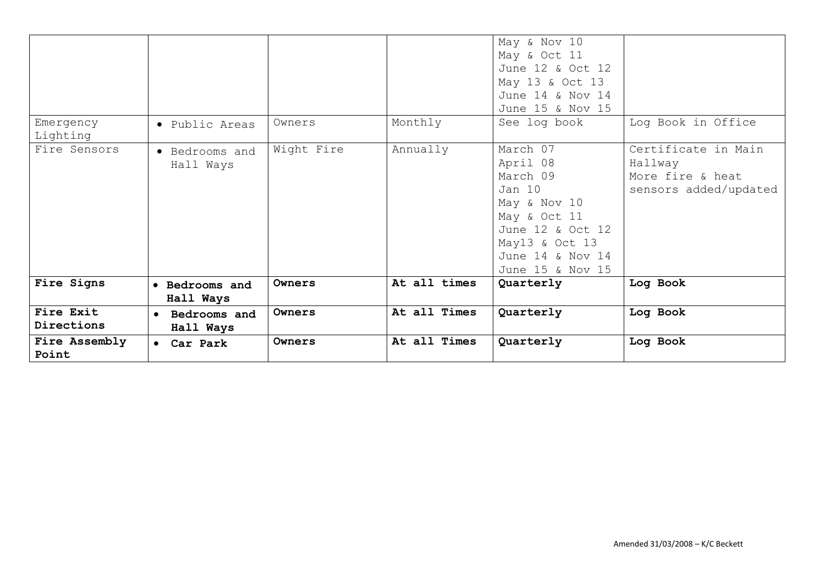| Emergency               |                             | Owners     | Monthly      | May & Nov 10<br>May & Oct 11<br>June 12 & Oct 12<br>May 13 & Oct 13<br>June 14 & Nov 14<br>June 15 & Nov 15<br>See log book                              | Log Book in Office                                                          |
|-------------------------|-----------------------------|------------|--------------|----------------------------------------------------------------------------------------------------------------------------------------------------------|-----------------------------------------------------------------------------|
| Lighting                | • Public Areas              |            |              |                                                                                                                                                          |                                                                             |
| Fire Sensors            | • Bedrooms and<br>Hall Ways | Wight Fire | Annually     | March 07<br>April 08<br>March 09<br>Jan 10<br>May & Nov 10<br>May & Oct 11<br>June 12 & Oct 12<br>May13 & Oct 13<br>June 14 & Nov 14<br>June 15 & Nov 15 | Certificate in Main<br>Hallway<br>More fire & heat<br>sensors added/updated |
| Fire Signs              | • Bedrooms and<br>Hall Ways | Owners     | At all times | Quarterly                                                                                                                                                | Log Book                                                                    |
| Fire Exit<br>Directions | Bedrooms and<br>Hall Ways   | Owners     | At all Times | Quarterly                                                                                                                                                | Log Book                                                                    |
| Fire Assembly<br>Point  | • Car Park                  | Owners     | At all Times | Quarterly                                                                                                                                                | Log Book                                                                    |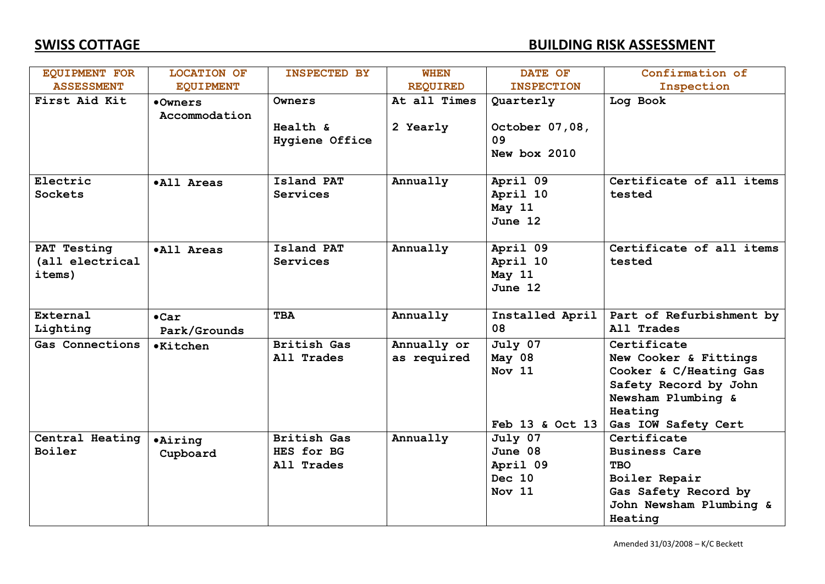### **SWISS COTTAGE BUILDING RISK ASSESSMENT**

| <b>EQUIPMENT FOR</b>                     | <b>LOCATION OF</b>            | <b>INSPECTED BY</b>                            | <b>WHEN</b>                | DATE OF                                            | Confirmation of                                                                                                                                 |
|------------------------------------------|-------------------------------|------------------------------------------------|----------------------------|----------------------------------------------------|-------------------------------------------------------------------------------------------------------------------------------------------------|
| <b>ASSESSMENT</b>                        | <b>EQUIPMENT</b>              |                                                | <b>REQUIRED</b>            | <b>INSPECTION</b>                                  | Inspection                                                                                                                                      |
| First Aid Kit                            | •Owners<br>Accommodation      | Owners                                         | At all Times               | Quarterly                                          | Log Book                                                                                                                                        |
|                                          |                               | Health &<br>Hygiene Office                     | 2 Yearly                   | October 07,08,<br>09<br>New box 2010               |                                                                                                                                                 |
| Electric<br>Sockets                      | .All Areas                    | Island PAT<br>Services                         | Annually                   | April 09<br>April 10<br>May 11<br>June 12          | Certificate of all items<br>tested                                                                                                              |
| PAT Testing<br>(all electrical<br>items) | .All Areas                    | Island PAT<br>Services                         | Annually                   | April 09<br>April 10<br>May 11<br>June $12$        | Certificate of all items<br>tested                                                                                                              |
| External<br>Lighting                     | $\bullet$ Car<br>Park/Grounds | <b>TBA</b>                                     | Annually                   | Installed April<br>08                              | Part of Refurbishment by<br>All Trades                                                                                                          |
| Gas Connections                          | <b>•Kitchen</b>               | <b>British Gas</b><br>All Trades               | Annually or<br>as required | July 07<br>May 08<br>Nov 11<br>Feb 13 & Oct 13     | Certificate<br>New Cooker & Fittings<br>Cooker & C/Heating Gas<br>Safety Record by John<br>Newsham Plumbing &<br>Heating<br>Gas IOW Safety Cert |
| Central Heating<br>Boiler                | <b>.Airing</b><br>Cupboard    | <b>British Gas</b><br>HES for BG<br>All Trades | Annually                   | July 07<br>June 08<br>April 09<br>Dec 10<br>Nov 11 | Certificate<br><b>Business Care</b><br><b>TBO</b><br>Boiler Repair<br>Gas Safety Record by<br>John Newsham Plumbing &<br>Heating                |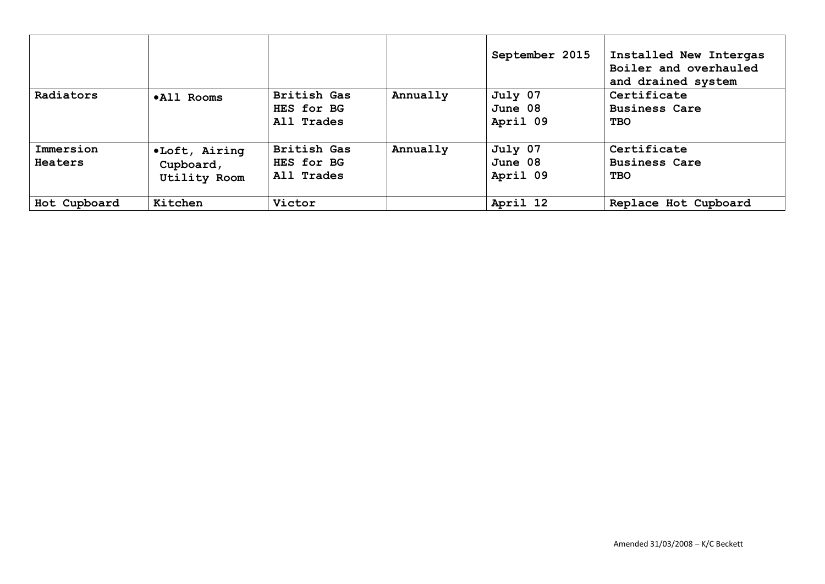|                      |                                                   |                                         |          | September 2015                 | Installed New Intergas<br>Boiler and overhauled<br>and drained system |
|----------------------|---------------------------------------------------|-----------------------------------------|----------|--------------------------------|-----------------------------------------------------------------------|
| Radiators            | .All Rooms                                        | British Gas<br>HES for BG<br>All Trades | Annually | July 07<br>June 08<br>April 09 | Certificate<br><b>Business Care</b><br><b>TBO</b>                     |
| Immersion<br>Heaters | .Loft, Airing<br>Cupboard,<br><b>Utility Room</b> | British Gas<br>HES for BG<br>All Trades | Annually | July 07<br>June 08<br>April 09 | Certificate<br><b>Business Care</b><br><b>TBO</b>                     |
| Hot Cupboard         | Kitchen                                           | Victor                                  |          | April 12                       | Replace Hot Cupboard                                                  |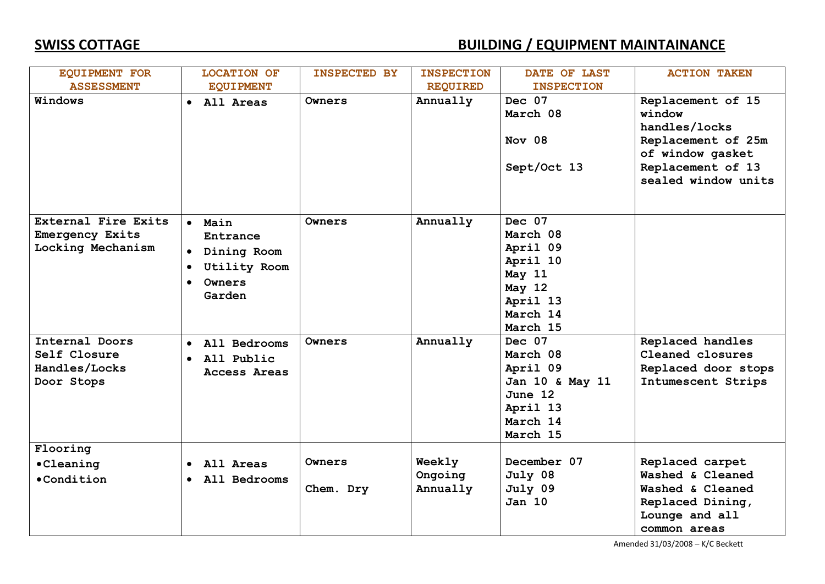| <b>EQUIPMENT FOR</b>                                                                                                         | <b>LOCATION OF</b>                                                                                                                                              | <b>INSPECTED BY</b> | <b>INSPECTION</b>             | DATE OF LAST                                                                                                                                                                                           | <b>ACTION TAKEN</b>                                                                                                                |
|------------------------------------------------------------------------------------------------------------------------------|-----------------------------------------------------------------------------------------------------------------------------------------------------------------|---------------------|-------------------------------|--------------------------------------------------------------------------------------------------------------------------------------------------------------------------------------------------------|------------------------------------------------------------------------------------------------------------------------------------|
| <b>ASSESSMENT</b>                                                                                                            | <b>EQUIPMENT</b>                                                                                                                                                |                     | <b>REQUIRED</b>               | <b>INSPECTION</b>                                                                                                                                                                                      |                                                                                                                                    |
| Windows                                                                                                                      | • All Areas                                                                                                                                                     | Owners              | Annually                      | Dec 07<br>March 08<br>Nov 08<br>Sept/Oct 13                                                                                                                                                            | Replacement of 15<br>window<br>handles/locks<br>Replacement of 25m<br>of window gasket<br>Replacement of 13<br>sealed window units |
| External Fire Exits<br>Emergency Exits<br>Locking Mechanism<br>Internal Doors<br>Self Closure<br>Handles/Locks<br>Door Stops | · Main<br>Entrance<br>• Dining Room<br><b>Utility Room</b><br>Owners<br>$\bullet$<br>Garden<br>· All Bedrooms<br>All Public<br>$\bullet$<br><b>Access Areas</b> | Owners<br>Owners    | Annually<br>Annually          | Dec 07<br>March 08<br>April 09<br>April 10<br>May 11<br>May 12<br>April 13<br>March 14<br>March 15<br>Dec 07<br>March 08<br>April 09<br>Jan 10 & May 11<br>June 12<br>April 13<br>March 14<br>March 15 | Replaced handles<br>Cleaned closures<br>Replaced door stops<br>Intumescent Strips                                                  |
| Flooring<br>•Cleaning<br>$\bullet$ Condition                                                                                 | All Areas<br>• All Bedrooms                                                                                                                                     | Owners<br>Chem. Dry | Weekly<br>Ongoing<br>Annually | December 07<br>July 08<br>July 09<br><b>Jan 10</b>                                                                                                                                                     | Replaced carpet<br>Washed & Cleaned<br>Washed & Cleaned<br>Replaced Dining,<br>Lounge and all<br>common areas                      |

Amended 31/03/2008 – K/C Beckett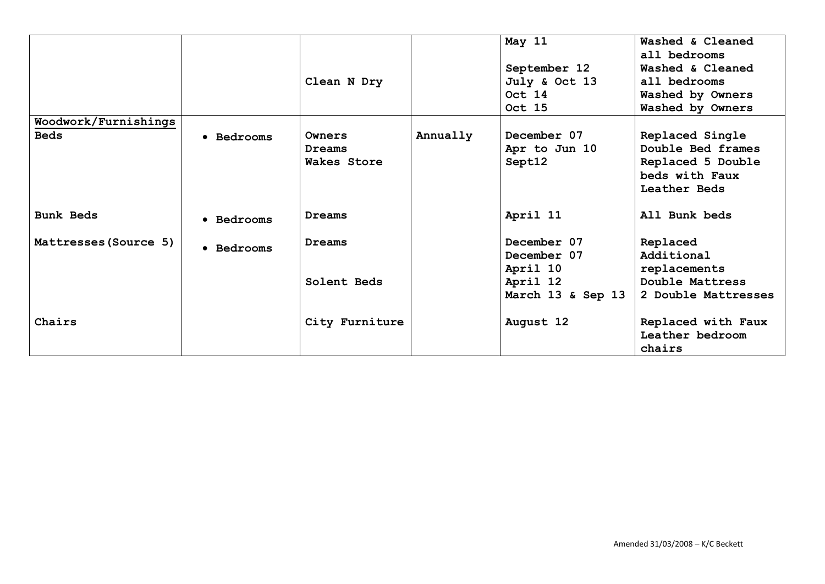|                       |            |                |          | May 11            | Washed & Cleaned    |
|-----------------------|------------|----------------|----------|-------------------|---------------------|
|                       |            |                |          |                   | all bedrooms        |
|                       |            |                |          | September 12      | Washed & Cleaned    |
|                       |            | Clean N Dry    |          | July & Oct 13     | all bedrooms        |
|                       |            |                |          | Oct 14            | Washed by Owners    |
|                       |            |                |          | Oct 15            | Washed by Owners    |
| Woodwork/Furnishings  |            |                |          |                   |                     |
| <b>Beds</b>           | • Bedrooms | Owners         | Annually | December 07       | Replaced Single     |
|                       |            | Dreams         |          | Apr to Jun 10     | Double Bed frames   |
|                       |            | Wakes Store    |          | Sept12            | Replaced 5 Double   |
|                       |            |                |          |                   | beds with Faux      |
|                       |            |                |          |                   | Leather Beds        |
|                       |            |                |          |                   |                     |
| <b>Bunk Beds</b>      | • Bedrooms | Dreams         |          | April 11          | All Bunk beds       |
| Mattresses (Source 5) |            | Dreams         |          | December 07       | Replaced            |
|                       | • Bedrooms |                |          | December 07       | Additional          |
|                       |            |                |          | April 10          | replacements        |
|                       |            | Solent Beds    |          | April 12          | Double Mattress     |
|                       |            |                |          | March 13 & Sep 13 | 2 Double Mattresses |
|                       |            |                |          |                   |                     |
| Chairs                |            | City Furniture |          | August 12         | Replaced with Faux  |
|                       |            |                |          |                   | Leather bedroom     |
|                       |            |                |          |                   | chairs              |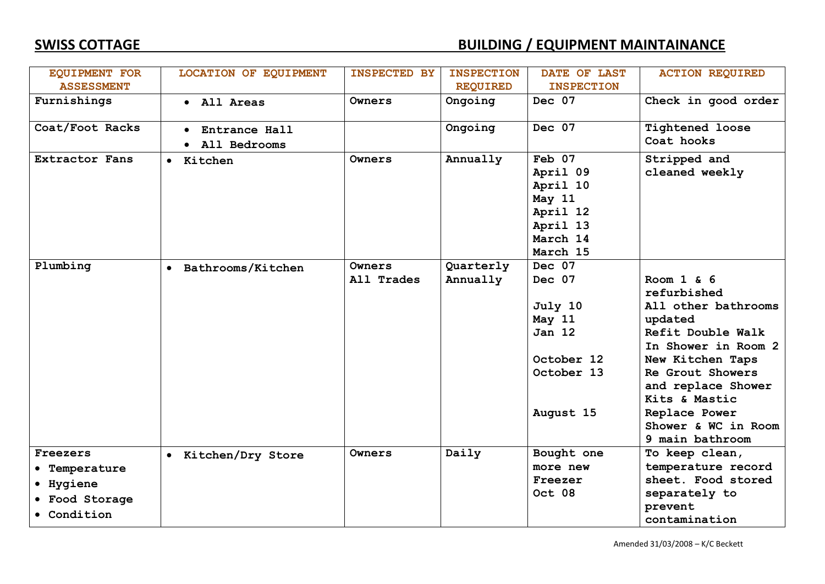| <b>EQUIPMENT FOR</b>                                                    | LOCATION OF EQUIPMENT         | <b>INSPECTED BY</b>  | <b>INSPECTION</b>     | DATE OF LAST                                                                                    | <b>ACTION REQUIRED</b>                                                                                                                                                                                                                               |
|-------------------------------------------------------------------------|-------------------------------|----------------------|-----------------------|-------------------------------------------------------------------------------------------------|------------------------------------------------------------------------------------------------------------------------------------------------------------------------------------------------------------------------------------------------------|
| <b>ASSESSMENT</b>                                                       |                               |                      | <b>REQUIRED</b>       | <b>INSPECTION</b>                                                                               |                                                                                                                                                                                                                                                      |
| Furnishings                                                             | • All Areas                   | Owners               | Ongoing               | Dec 07                                                                                          | Check in good order                                                                                                                                                                                                                                  |
| Coat/Foot Racks                                                         | Entrance Hall<br>All Bedrooms |                      | Ongoing               | Dec 07                                                                                          | <b>Tightened loose</b><br>Coat hooks                                                                                                                                                                                                                 |
| <b>Extractor Fans</b>                                                   | • Kitchen                     | Owners               | Annually              | Feb 07<br>April 09<br>April 10<br>May 11<br>April 12<br>April 13<br>March 14<br>March 15        | Stripped and<br>cleaned weekly                                                                                                                                                                                                                       |
| Plumbing                                                                | • Bathrooms/Kitchen           | Owners<br>All Trades | Quarterly<br>Annually | Dec 07<br>Dec 07<br>July 10<br>May 11<br><b>Jan 12</b><br>October 12<br>October 13<br>August 15 | Room $1 \& 6$<br>refurbished<br>All other bathrooms<br>updated<br>Refit Double Walk<br>In Shower in Room 2<br>New Kitchen Taps<br>Re Grout Showers<br>and replace Shower<br>Kits & Mastic<br>Replace Power<br>Shower & WC in Room<br>9 main bathroom |
| Freezers<br>• Temperature<br>• Hygiene<br>• Food Storage<br>• Condition | • Kitchen/Dry Store           | Owners               | Daily                 | Bought one<br>more new<br>Freezer<br>Oct 08                                                     | To keep clean,<br>temperature record<br>sheet. Food stored<br>separately to<br>prevent<br>contamination                                                                                                                                              |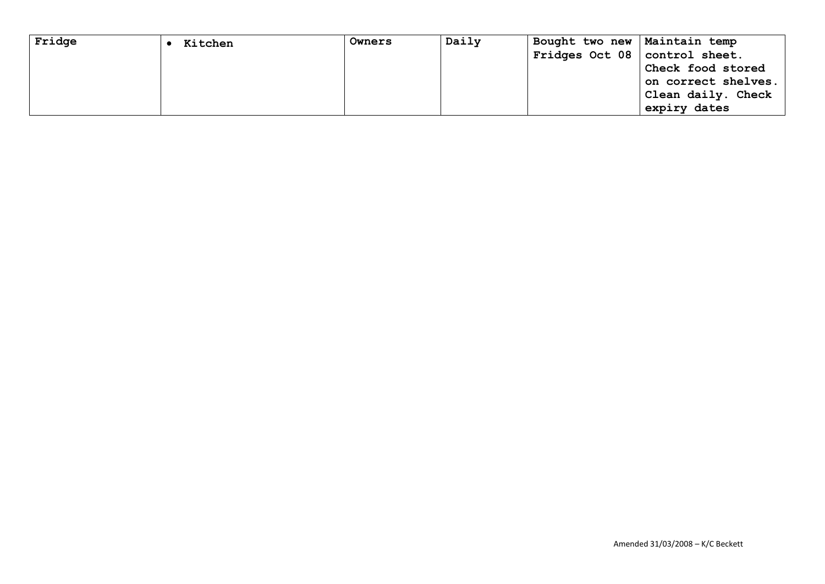| Fridge | Kitchen | Owners | Daily | Bought two new   Maintain temp  |                     |
|--------|---------|--------|-------|---------------------------------|---------------------|
|        |         |        |       | Fridges Oct 08   control sheet. |                     |
|        |         |        |       |                                 | Check food stored   |
|        |         |        |       |                                 | on correct shelves. |
|        |         |        |       |                                 | Clean daily. Check  |
|        |         |        |       |                                 | expiry dates        |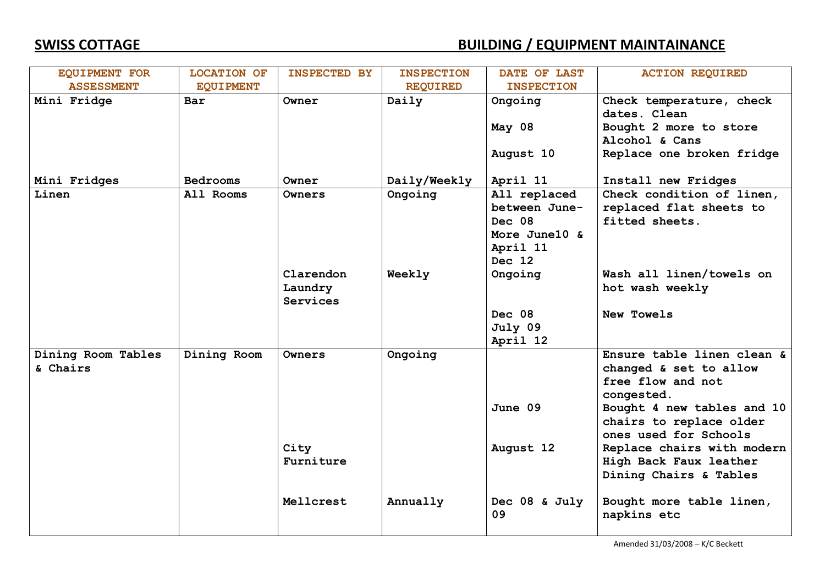| <b>EQUIPMENT FOR</b> | <b>LOCATION OF</b> | <b>INSPECTED BY</b> | <b>INSPECTION</b> | DATE OF LAST        | <b>ACTION REQUIRED</b>                   |
|----------------------|--------------------|---------------------|-------------------|---------------------|------------------------------------------|
| <b>ASSESSMENT</b>    | <b>EQUIPMENT</b>   |                     | <b>REQUIRED</b>   | <b>INSPECTION</b>   |                                          |
| Mini Fridge          | Bar                | Owner               | Daily             | Ongoing             | Check temperature, check<br>dates. Clean |
|                      |                    |                     |                   | May 08              | Bought 2 more to store                   |
|                      |                    |                     |                   |                     | Alcohol & Cans                           |
|                      |                    |                     |                   | August 10           | Replace one broken fridge                |
| Mini Fridges         | <b>Bedrooms</b>    | Owner               | Daily/Weekly      | April 11            | Install new Fridges                      |
| Linen                | All Rooms          | Owners              | Ongoing           | All replaced        | Check condition of linen,                |
|                      |                    |                     |                   | between June-       | replaced flat sheets to                  |
|                      |                    |                     |                   | Dec 08              | fitted sheets.                           |
|                      |                    |                     |                   | More June10 &       |                                          |
|                      |                    |                     |                   | April 11            |                                          |
|                      |                    |                     |                   | Dec 12              |                                          |
|                      |                    | Clarendon           | Weekly            | Ongoing             | Wash all linen/towels on                 |
|                      |                    | Laundry<br>Services |                   |                     | hot wash weekly                          |
|                      |                    |                     |                   | Dec 08              | New Towels                               |
|                      |                    |                     |                   | July 09             |                                          |
|                      |                    |                     |                   | April 12            |                                          |
| Dining Room Tables   | Dining Room        | Owners              | Ongoing           |                     | Ensure table linen clean &               |
| & Chairs             |                    |                     |                   |                     | changed & set to allow                   |
|                      |                    |                     |                   |                     | free flow and not                        |
|                      |                    |                     |                   |                     | congested.                               |
|                      |                    |                     |                   | June 09             | Bought 4 new tables and 10               |
|                      |                    |                     |                   |                     | chairs to replace older                  |
|                      |                    |                     |                   |                     | ones used for Schools                    |
|                      |                    | City                |                   | August 12           | Replace chairs with modern               |
|                      |                    | Furniture           |                   |                     | High Back Faux leather                   |
|                      |                    |                     |                   |                     | Dining Chairs & Tables                   |
|                      |                    | Mellcrest           | Annually          | Dec 08 & July<br>09 | Bought more table linen,<br>napkins etc  |

Amended 31/03/2008 – K/C Beckett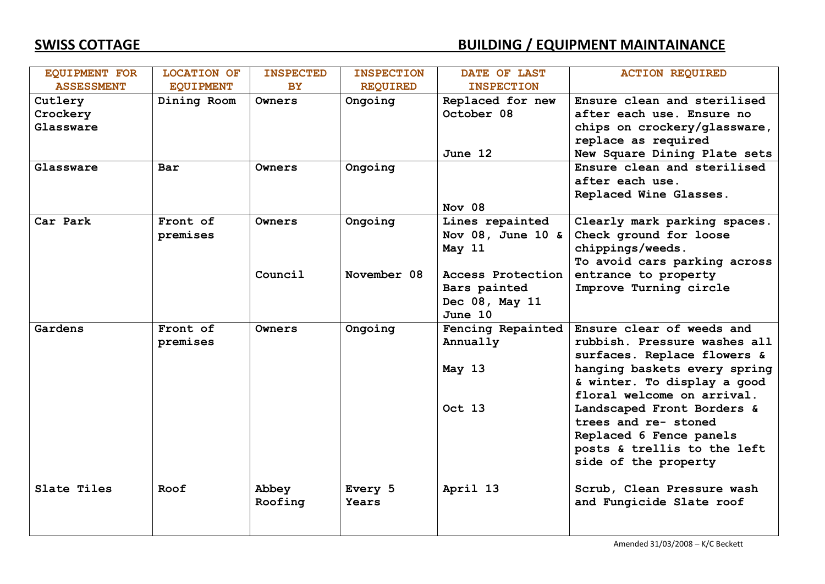| <b>EQUIPMENT FOR</b> | <b>LOCATION OF</b> | <b>INSPECTED</b> | <b>INSPECTION</b> | DATE OF LAST      | <b>ACTION REQUIRED</b>       |
|----------------------|--------------------|------------------|-------------------|-------------------|------------------------------|
| <b>ASSESSMENT</b>    | <b>EQUIPMENT</b>   | <b>BY</b>        | <b>REQUIRED</b>   | <b>INSPECTION</b> |                              |
| Cutlery              | Dining Room        | Owners           | Ongoing           | Replaced for new  | Ensure clean and sterilised  |
| Crockery             |                    |                  |                   | October 08        | after each use. Ensure no    |
| Glassware            |                    |                  |                   |                   | chips on crockery/glassware, |
|                      |                    |                  |                   |                   | replace as required          |
|                      |                    |                  |                   | June 12           | New Square Dining Plate sets |
| Glassware            | Bar                | Owners           | Ongoing           |                   | Ensure clean and sterilised  |
|                      |                    |                  |                   |                   | after each use.              |
|                      |                    |                  |                   |                   | Replaced Wine Glasses.       |
|                      |                    |                  |                   | Nov 08            |                              |
| Car Park             | Front of           | Owners           | Ongoing           | Lines repainted   | Clearly mark parking spaces. |
|                      | premises           |                  |                   | Nov 08, June 10 & | Check ground for loose       |
|                      |                    |                  |                   | May 11            | chippings/weeds.             |
|                      |                    |                  |                   |                   | To avoid cars parking across |
|                      |                    | Council          | November 08       | Access Protection | entrance to property         |
|                      |                    |                  |                   | Bars painted      | Improve Turning circle       |
|                      |                    |                  |                   | Dec 08, May 11    |                              |
|                      |                    |                  |                   | June 10           |                              |
| Gardens              | Front of           | Owners           | Ongoing           | Fencing Repainted | Ensure clear of weeds and    |
|                      | premises           |                  |                   | Annually          | rubbish. Pressure washes all |
|                      |                    |                  |                   |                   | surfaces. Replace flowers &  |
|                      |                    |                  |                   | May 13            | hanging baskets every spring |
|                      |                    |                  |                   |                   | & winter. To display a good  |
|                      |                    |                  |                   |                   | floral welcome on arrival.   |
|                      |                    |                  |                   | Oct 13            | Landscaped Front Borders &   |
|                      |                    |                  |                   |                   | trees and re- stoned         |
|                      |                    |                  |                   |                   | Replaced 6 Fence panels      |
|                      |                    |                  |                   |                   | posts & trellis to the left  |
|                      |                    |                  |                   |                   | side of the property         |
| Slate Tiles          | Roof               | Abbey            | Every 5           | April 13          | Scrub, Clean Pressure wash   |
|                      |                    | Roofing          | Years             |                   | and Fungicide Slate roof     |
|                      |                    |                  |                   |                   |                              |
|                      |                    |                  |                   |                   |                              |